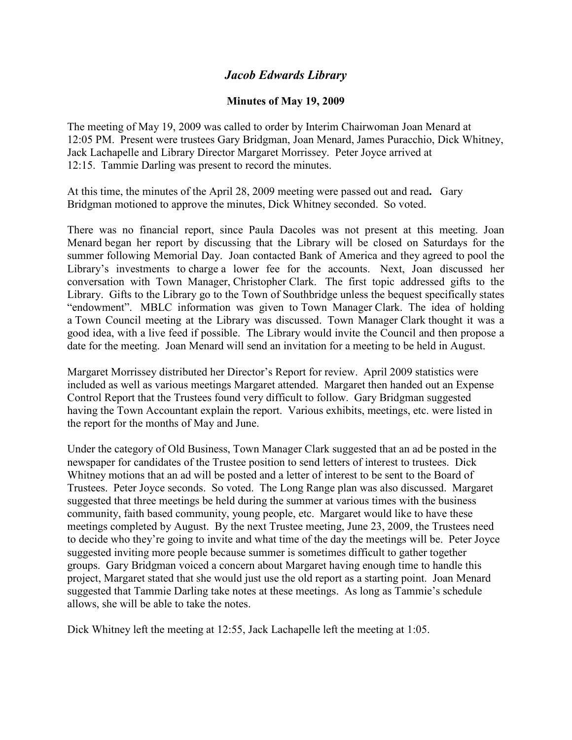## *Jacob Edwards Library*

## **Minutes of May 19, 2009**

The meeting of May 19, 2009 was called to order by Interim Chairwoman Joan Menard at 12:05 PM. Present were trustees Gary Bridgman, Joan Menard, James Puracchio, Dick Whitney, Jack Lachapelle and Library Director Margaret Morrissey. Peter Joyce arrived at 12:15. Tammie Darling was present to record the minutes.

At this time, the minutes of the April 28, 2009 meeting were passed out and read**.** Gary Bridgman motioned to approve the minutes, Dick Whitney seconded. So voted.

There was no financial report, since Paula Dacoles was not present at this meeting. Joan Menard began her report by discussing that the Library will be closed on Saturdays for the summer following Memorial Day. Joan contacted Bank of America and they agreed to pool the Library's investments to charge a lower fee for the accounts. Next, Joan discussed her conversation with Town Manager, Christopher Clark. The first topic addressed gifts to the Library. Gifts to the Library go to the Town of Southbridge unless the bequest specifically states "endowment". MBLC information was given to Town Manager Clark. The idea of holding a Town Council meeting at the Library was discussed. Town Manager Clark thought it was a good idea, with a live feed if possible. The Library would invite the Council and then propose a date for the meeting. Joan Menard will send an invitation for a meeting to be held in August.

Margaret Morrissey distributed her Director's Report for review. April 2009 statistics were included as well as various meetings Margaret attended. Margaret then handed out an Expense Control Report that the Trustees found very difficult to follow. Gary Bridgman suggested having the Town Accountant explain the report. Various exhibits, meetings, etc. were listed in the report for the months of May and June.

Under the category of Old Business, Town Manager Clark suggested that an ad be posted in the newspaper for candidates of the Trustee position to send letters of interest to trustees. Dick Whitney motions that an ad will be posted and a letter of interest to be sent to the Board of Trustees. Peter Joyce seconds. So voted. The Long Range plan was also discussed. Margaret suggested that three meetings be held during the summer at various times with the business community, faith based community, young people, etc. Margaret would like to have these meetings completed by August. By the next Trustee meeting, June 23, 2009, the Trustees need to decide who they're going to invite and what time of the day the meetings will be. Peter Joyce suggested inviting more people because summer is sometimes difficult to gather together groups. Gary Bridgman voiced a concern about Margaret having enough time to handle this project, Margaret stated that she would just use the old report as a starting point. Joan Menard suggested that Tammie Darling take notes at these meetings. As long as Tammie's schedule allows, she will be able to take the notes.

Dick Whitney left the meeting at 12:55, Jack Lachapelle left the meeting at 1:05.